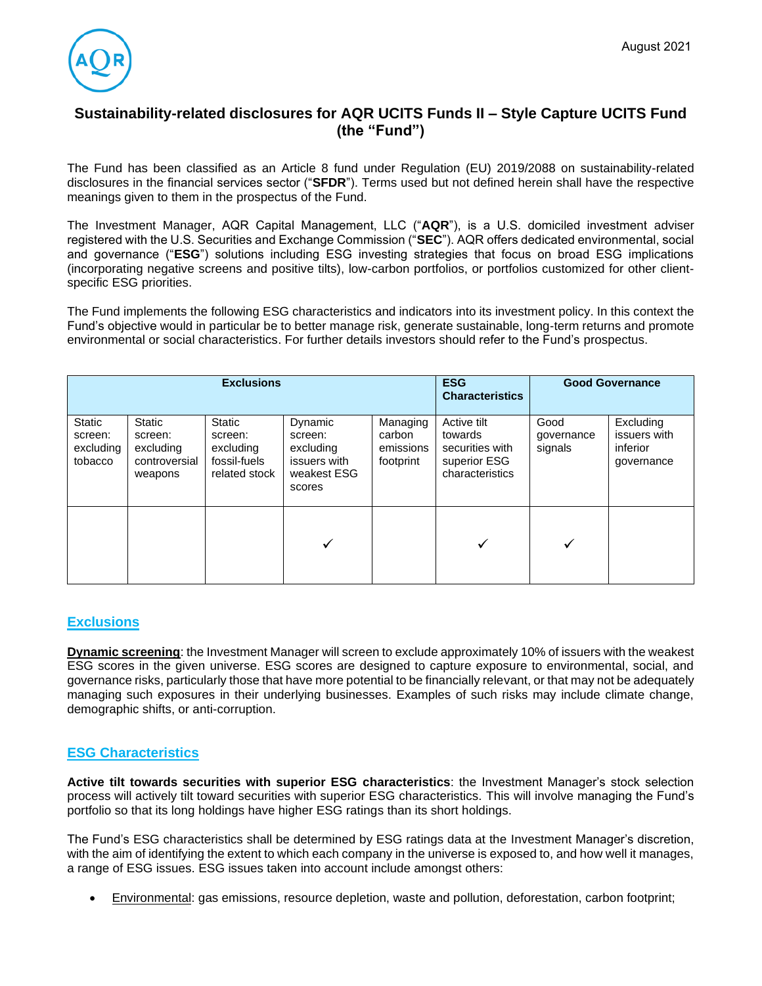

# **Sustainability-related disclosures for AQR UCITS Funds II – Style Capture UCITS Fund (the "Fund")**

The Fund has been classified as an Article 8 fund under Regulation (EU) 2019/2088 on sustainability-related disclosures in the financial services sector ("**SFDR**"). Terms used but not defined herein shall have the respective meanings given to them in the prospectus of the Fund.

The Investment Manager, AQR Capital Management, LLC ("**AQR**"), is a U.S. domiciled investment adviser registered with the U.S. Securities and Exchange Commission ("**SEC**"). AQR offers dedicated environmental, social and governance ("**ESG**") solutions including ESG investing strategies that focus on broad ESG implications (incorporating negative screens and positive tilts), low-carbon portfolios, or portfolios customized for other clientspecific ESG priorities.

The Fund implements the following ESG characteristics and indicators into its investment policy. In this context the Fund's objective would in particular be to better manage risk, generate sustainable, long-term returns and promote environmental or social characteristics. For further details investors should refer to the Fund's prospectus.

| <b>Exclusions</b>                                |                                                                   |                                                                 |                                                                          |                                              | <b>ESG</b><br><b>Characteristics</b>                                         | <b>Good Governance</b>        |                                                     |
|--------------------------------------------------|-------------------------------------------------------------------|-----------------------------------------------------------------|--------------------------------------------------------------------------|----------------------------------------------|------------------------------------------------------------------------------|-------------------------------|-----------------------------------------------------|
| <b>Static</b><br>screen:<br>excluding<br>tobacco | <b>Static</b><br>screen:<br>excluding<br>controversial<br>weapons | Static<br>screen:<br>excluding<br>fossil-fuels<br>related stock | Dynamic<br>screen:<br>excluding<br>issuers with<br>weakest ESG<br>scores | Managing<br>carbon<br>emissions<br>footprint | Active tilt<br>towards<br>securities with<br>superior ESG<br>characteristics | Good<br>governance<br>signals | Excluding<br>issuers with<br>inferior<br>governance |
|                                                  |                                                                   |                                                                 | ✓                                                                        |                                              | ✔                                                                            | ✓                             |                                                     |

## **Exclusions**

**Dynamic screening**: the Investment Manager will screen to exclude approximately 10% of issuers with the weakest ESG scores in the given universe. ESG scores are designed to capture exposure to environmental, social, and governance risks, particularly those that have more potential to be financially relevant, or that may not be adequately managing such exposures in their underlying businesses. Examples of such risks may include climate change, demographic shifts, or anti-corruption.

# **ESG Characteristics**

**Active tilt towards securities with superior ESG characteristics**: the Investment Manager's stock selection process will actively tilt toward securities with superior ESG characteristics. This will involve managing the Fund's portfolio so that its long holdings have higher ESG ratings than its short holdings.

The Fund's ESG characteristics shall be determined by ESG ratings data at the Investment Manager's discretion, with the aim of identifying the extent to which each company in the universe is exposed to, and how well it manages, a range of ESG issues. ESG issues taken into account include amongst others:

• Environmental: gas emissions, resource depletion, waste and pollution, deforestation, carbon footprint;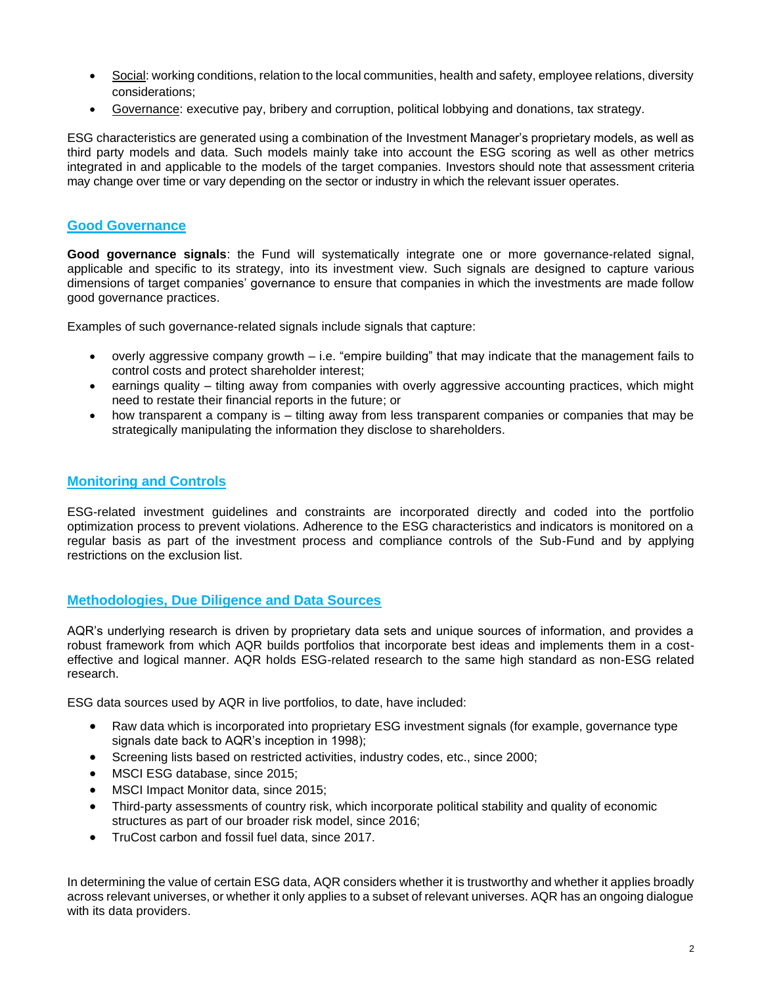- Social: working conditions, relation to the local communities, health and safety, employee relations, diversity considerations;
- Governance: executive pay, bribery and corruption, political lobbying and donations, tax strategy.

ESG characteristics are generated using a combination of the Investment Manager's proprietary models, as well as third party models and data. Such models mainly take into account the ESG scoring as well as other metrics integrated in and applicable to the models of the target companies. Investors should note that assessment criteria may change over time or vary depending on the sector or industry in which the relevant issuer operates.

# **Good Governance**

**Good governance signals**: the Fund will systematically integrate one or more governance-related signal, applicable and specific to its strategy, into its investment view. Such signals are designed to capture various dimensions of target companies' governance to ensure that companies in which the investments are made follow good governance practices.

Examples of such governance-related signals include signals that capture:

- overly aggressive company growth i.e. "empire building" that may indicate that the management fails to control costs and protect shareholder interest;
- earnings quality tilting away from companies with overly aggressive accounting practices, which might need to restate their financial reports in the future; or
- how transparent a company is tilting away from less transparent companies or companies that may be strategically manipulating the information they disclose to shareholders.

## **Monitoring and Controls**

ESG-related investment guidelines and constraints are incorporated directly and coded into the portfolio optimization process to prevent violations. Adherence to the ESG characteristics and indicators is monitored on a regular basis as part of the investment process and compliance controls of the Sub-Fund and by applying restrictions on the exclusion list.

## **Methodologies, Due Diligence and Data Sources**

AQR's underlying research is driven by proprietary data sets and unique sources of information, and provides a robust framework from which AQR builds portfolios that incorporate best ideas and implements them in a costeffective and logical manner. AQR holds ESG-related research to the same high standard as non-ESG related research.

ESG data sources used by AQR in live portfolios, to date, have included:

- Raw data which is incorporated into proprietary ESG investment signals (for example, governance type signals date back to AQR's inception in 1998);
- Screening lists based on restricted activities, industry codes, etc., since 2000;
- MSCI ESG database, since 2015;
- MSCI Impact Monitor data, since 2015;
- Third-party assessments of country risk, which incorporate political stability and quality of economic structures as part of our broader risk model, since 2016;
- TruCost carbon and fossil fuel data, since 2017.

In determining the value of certain ESG data, AQR considers whether it is trustworthy and whether it applies broadly across relevant universes, or whether it only applies to a subset of relevant universes. AQR has an ongoing dialogue with its data providers.